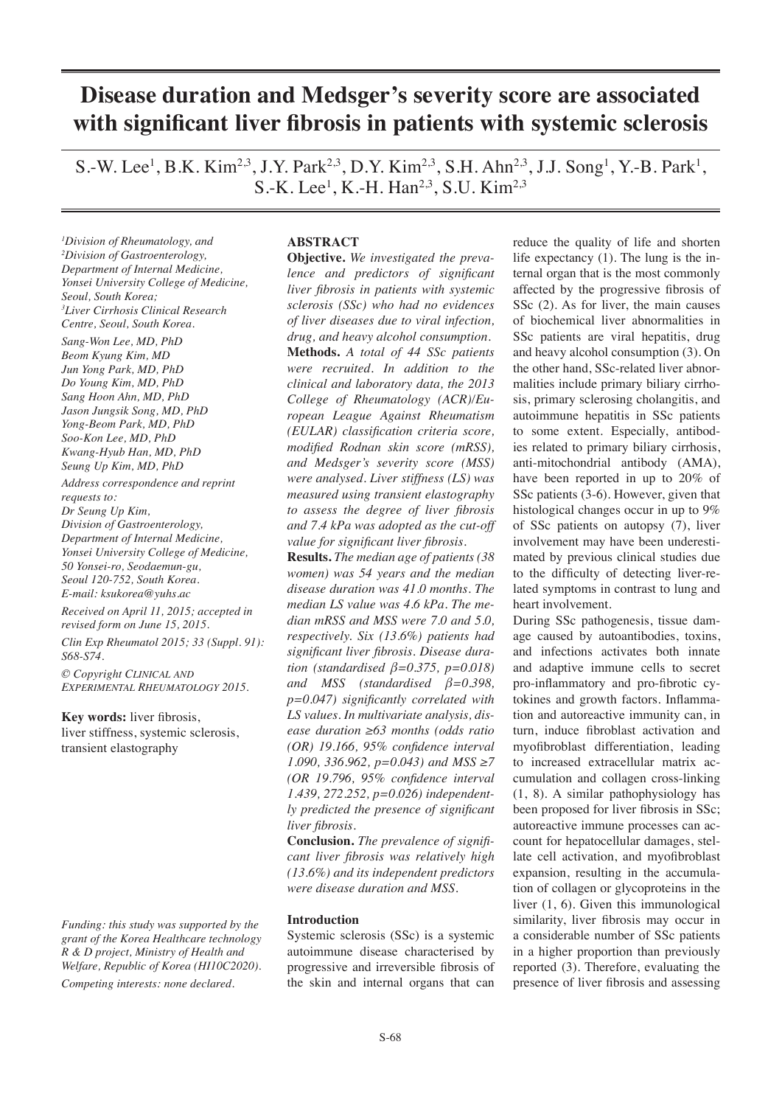# **Disease duration and Medsger's severity score are associated with significant liver fibrosis in patients with systemic sclerosis**

S.-W. Lee<sup>1</sup>, B.K. Kim<sup>2,3</sup>, J.Y. Park<sup>2,3</sup>, D.Y. Kim<sup>2,3</sup>, S.H. Ahn<sup>2,3</sup>, J.J. Song<sup>1</sup>, Y.-B. Park<sup>1</sup>, S.-K. Lee<sup>1</sup>, K.-H. Han<sup>2,3</sup>, S.U. Kim<sup>2,3</sup>

*1 Division of Rheumatology, and 2 Division of Gastroenterology, Department of Internal Medicine, Yonsei University College of Medicine, Seoul, South Korea; 3 Liver Cirrhosis Clinical Research Centre, Seoul, South Korea.*

*Sang-Won Lee, MD, PhD Beom Kyung Kim, MD Jun Yong Park, MD, PhD Do Young Kim, MD, PhD Sang Hoon Ahn, MD, PhD Jason Jungsik Song, MD, PhD Yong-Beom Park, MD, PhD Soo-Kon Lee, MD, PhD Kwang-Hyub Han, MD, PhD Seung Up Kim, MD, PhD*

*Address correspondence and reprint requests to: Dr Seung Up Kim, Division of Gastroenterology, Department of Internal Medicine, Yonsei University College of Medicine, 50 Yonsei-ro, Seodaemun-gu, Seoul 120-752, South Korea. E-mail: ksukorea@yuhs.ac*

*Received on April 11, 2015; accepted in revised form on June 15, 2015.*

*Clin Exp Rheumatol 2015; 33 (Suppl. 91): S68-S74.*

*© Copyright Clinical and Experimental Rheumatology 2015.*

**Key words:** liver fibrosis, liver stiffness, systemic sclerosis, transient elastography

*Funding: this study was supported by the grant of the Korea Healthcare technology R & D project, Ministry of Health and Welfare, Republic of Korea (HI10C2020). Competing interests: none declared.*

#### **ABSTRACT**

**Objective.** *We investigated the prevalence and predictors of significant liver fibrosis in patients with systemic sclerosis (SSc) who had no evidences of liver diseases due to viral infection, drug, and heavy alcohol consumption.* **Methods.** *A total of 44 SSc patients were recruited. In addition to the clinical and laboratory data, the 2013 College of Rheumatology (ACR)/European League Against Rheumatism (EULAR) classification criteria score, modified Rodnan skin score (mRSS), and Medsger's severity score (MSS) were analysed. Liver stiffness (LS) was measured using transient elastography to assess the degree of liver fibrosis and 7.4 kPa was adopted as the cut-off value for significant liver fibrosis.*

**Results.** *The median age of patients (38 women) was 54 years and the median disease duration was 41.0 months. The median LS value was 4.6 kPa. The median mRSS and MSS were 7.0 and 5.0, respectively. Six (13.6%) patients had significant liver fibrosis. Disease duration (standardised β=0.375, p=0.018) and MSS (standardised β=0.398, p=0.047) significantly correlated with LS values. In multivariate analysis, disease duration ≥63 months (odds ratio (OR) 19.166, 95% confidence interval 1.090, 336.962, p=0.043) and MSS ≥7 (OR 19.796, 95% confidence interval 1.439, 272.252, p=0.026) independently predicted the presence of significant liver fibrosis.* 

**Conclusion.** *The prevalence of significant liver fibrosis was relatively high (13.6%) and its independent predictors were disease duration and MSS.*

#### **Introduction**

Systemic sclerosis (SSc) is a systemic autoimmune disease characterised by progressive and irreversible fibrosis of the skin and internal organs that can

reduce the quality of life and shorten life expectancy (1). The lung is the internal organ that is the most commonly affected by the progressive fibrosis of SSc  $(2)$ . As for liver, the main causes of biochemical liver abnormalities in SSc patients are viral hepatitis, drug and heavy alcohol consumption (3). On the other hand, SSc-related liver abnormalities include primary biliary cirrhosis, primary sclerosing cholangitis, and autoimmune hepatitis in SSc patients to some extent. Especially, antibodies related to primary biliary cirrhosis, anti-mitochondrial antibody (AMA), have been reported in up to 20% of SSc patients (3-6). However, given that histological changes occur in up to 9% of SSc patients on autopsy (7), liver involvement may have been underestimated by previous clinical studies due to the difficulty of detecting liver-related symptoms in contrast to lung and heart involvement.

During SSc pathogenesis, tissue damage caused by autoantibodies, toxins, and infections activates both innate and adaptive immune cells to secret pro-inflammatory and pro-fibrotic cytokines and growth factors. Inflammation and autoreactive immunity can, in turn, induce fibroblast activation and myofibroblast differentiation, leading to increased extracellular matrix accumulation and collagen cross-linking (1, 8). A similar pathophysiology has been proposed for liver fibrosis in SSc; autoreactive immune processes can account for hepatocellular damages, stellate cell activation, and myofibroblast expansion, resulting in the accumulation of collagen or glycoproteins in the liver (1, 6). Given this immunological similarity, liver fibrosis may occur in a considerable number of SSc patients in a higher proportion than previously reported (3). Therefore, evaluating the presence of liver fibrosis and assessing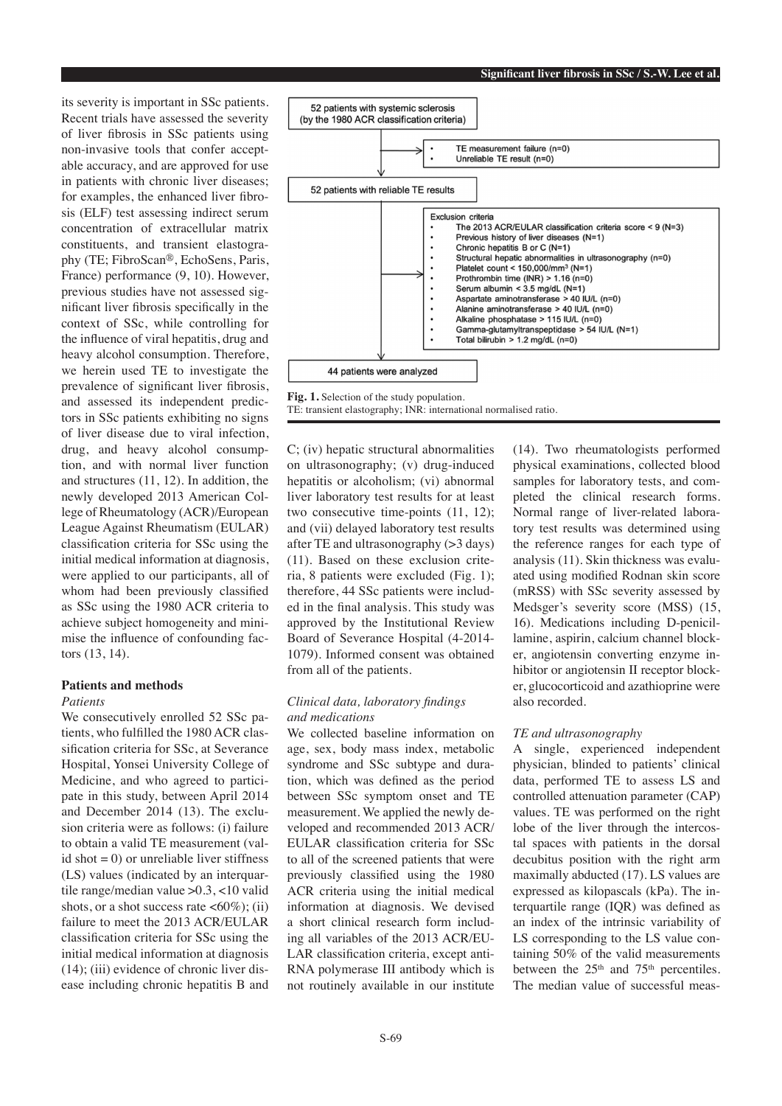its severity is important in SSc patients. Recent trials have assessed the severity of liver fibrosis in SSc patients using non-invasive tools that confer acceptable accuracy, and are approved for use in patients with chronic liver diseases; for examples, the enhanced liver fibrosis (ELF) test assessing indirect serum concentration of extracellular matrix constituents, and transient elastography (TE; FibroScan®, EchoSens, Paris, France) performance (9, 10). However, previous studies have not assessed significant liver fibrosis specifically in the context of SSc, while controlling for the influence of viral hepatitis, drug and heavy alcohol consumption. Therefore, we herein used TE to investigate the prevalence of significant liver fibrosis, and assessed its independent predictors in SSc patients exhibiting no signs of liver disease due to viral infection, drug, and heavy alcohol consumption, and with normal liver function and structures (11, 12). In addition, the newly developed 2013 American College of Rheumatology (ACR)/European League Against Rheumatism (EULAR) classification criteria for SSc using the initial medical information at diagnosis, were applied to our participants, all of whom had been previously classified as SSc using the 1980 ACR criteria to achieve subject homogeneity and minimise the influence of confounding factors (13, 14).

# **Patients and methods**

#### *Patients*

We consecutively enrolled 52 SSc patients, who fulfilled the 1980 ACR classification criteria for SSc, at Severance Hospital, Yonsei University College of Medicine, and who agreed to participate in this study, between April 2014 and December 2014 (13). The exclusion criteria were as follows: (i) failure to obtain a valid TE measurement (valid shot  $= 0$ ) or unreliable liver stiffness (LS) values (indicated by an interquartile range/median value >0.3, <10 valid shots, or a shot success rate  $\langle 60\% \rangle$ ; (ii) failure to meet the 2013 ACR/EULAR classification criteria for SSc using the initial medical information at diagnosis (14); (iii) evidence of chronic liver disease including chronic hepatitis B and



**Fig. 1.** Selection of the study population. TE: transient elastography; INR: international normalised ratio.

C; (iv) hepatic structural abnormalities on ultrasonography; (v) drug-induced hepatitis or alcoholism; (vi) abnormal liver laboratory test results for at least two consecutive time-points (11, 12); and (vii) delayed laboratory test results after TE and ultrasonography (>3 days) (11). Based on these exclusion criteria, 8 patients were excluded (Fig. 1); therefore, 44 SSc patients were included in the final analysis. This study was approved by the Institutional Review Board of Severance Hospital (4-2014- 1079). Informed consent was obtained from all of the patients.

### *Clinical data, laboratory findings and medications*

We collected baseline information on age, sex, body mass index, metabolic syndrome and SSc subtype and duration, which was defined as the period between SSc symptom onset and TE measurement. We applied the newly developed and recommended 2013 ACR/ EULAR classification criteria for SSc to all of the screened patients that were previously classified using the 1980 ACR criteria using the initial medical information at diagnosis. We devised a short clinical research form including all variables of the 2013 ACR/EU-LAR classification criteria, except anti-RNA polymerase III antibody which is not routinely available in our institute (14). Two rheumatologists performed physical examinations, collected blood samples for laboratory tests, and completed the clinical research forms. Normal range of liver-related laboratory test results was determined using the reference ranges for each type of analysis (11). Skin thickness was evaluated using modified Rodnan skin score (mRSS) with SSc severity assessed by Medsger's severity score (MSS) (15, 16). Medications including D-penicillamine, aspirin, calcium channel blocker, angiotensin converting enzyme inhibitor or angiotensin II receptor blocker, glucocorticoid and azathioprine were also recorded.

#### *TE and ultrasonography*

A single, experienced independent physician, blinded to patients' clinical data, performed TE to assess LS and controlled attenuation parameter (CAP) values. TE was performed on the right lobe of the liver through the intercostal spaces with patients in the dorsal decubitus position with the right arm maximally abducted (17). LS values are expressed as kilopascals (kPa). The interquartile range (IQR) was defined as an index of the intrinsic variability of LS corresponding to the LS value containing 50% of the valid measurements between the  $25<sup>th</sup>$  and  $75<sup>th</sup>$  percentiles. The median value of successful meas-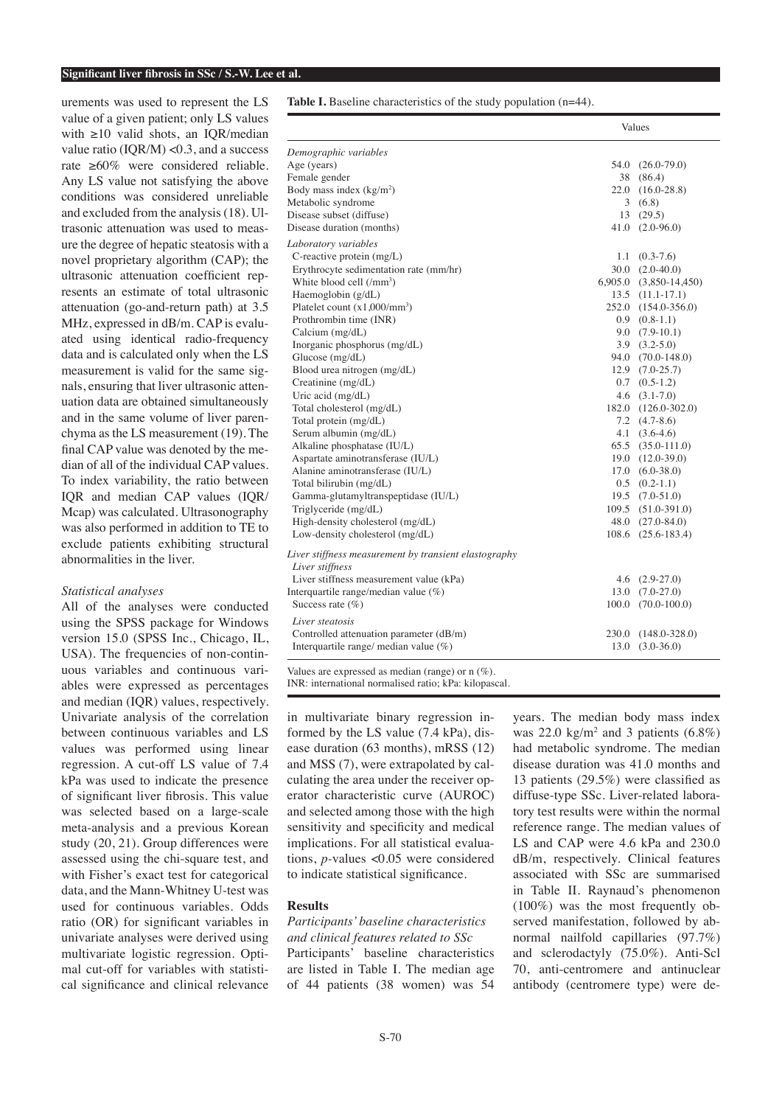#### **Significant liver fibrosis in SSc / S.-W. Lee et al.**

urements was used to represent the LS value of a given patient; only LS values with ≥10 valid shots, an IQR/median value ratio  $( IQR/M) < 0.3$ , and a success rate ≥60% were considered reliable. Any LS value not satisfying the above conditions was considered unreliable and excluded from the analysis (18). Ultrasonic attenuation was used to measure the degree of hepatic steatosis with a novel proprietary algorithm (CAP); the ultrasonic attenuation coefficient represents an estimate of total ultrasonic attenuation (go-and-return path) at 3.5 MHz, expressed in dB/m. CAP is evaluated using identical radio-frequency data and is calculated only when the LS measurement is valid for the same signals, ensuring that liver ultrasonic attenuation data are obtained simultaneously and in the same volume of liver parenchyma as the LS measurement (19). The final CAP value was denoted by the median of all of the individual CAP values. To index variability, the ratio between IQR and median CAP values (IQR/ Mcap) was calculated. Ultrasonography was also performed in addition to TE to exclude patients exhibiting structural abnormalities in the liver.

#### *Statistical analyses*

All of the analyses were conducted using the SPSS package for Windows version 15.0 (SPSS Inc., Chicago, IL, USA). The frequencies of non-continuous variables and continuous variables were expressed as percentages and median (IQR) values, respectively. Univariate analysis of the correlation between continuous variables and LS values was performed using linear regression. A cut-off LS value of 7.4 kPa was used to indicate the presence of significant liver fibrosis. This value was selected based on a large-scale meta-analysis and a previous Korean study (20, 21). Group differences were assessed using the chi-square test, and with Fisher's exact test for categorical data, and the Mann-Whitney U-test was used for continuous variables. Odds ratio (OR) for significant variables in univariate analyses were derived using multivariate logistic regression. Optimal cut-off for variables with statistical significance and clinical relevance

**Table I.** Baseline characteristics of the study population (n=44).

|                                                                          |       | Values                 |
|--------------------------------------------------------------------------|-------|------------------------|
| Demographic variables                                                    |       |                        |
| Age (years)                                                              | 54.0  | $(26.0 - 79.0)$        |
| Female gender                                                            | 38    | (86.4)                 |
| Body mass index $(kg/m2)$                                                |       | 22.0 (16.0-28.8)       |
| Metabolic syndrome                                                       |       | 3(6.8)                 |
| Disease subset (diffuse)                                                 |       | 13(29.5)               |
| Disease duration (months)                                                | 41.0  | $(2.0 - 96.0)$         |
| Laboratory variables                                                     |       |                        |
| C-reactive protein (mg/L)                                                | 1.1   | $(0.3 - 7.6)$          |
| Erythrocyte sedimentation rate (mm/hr)                                   |       | $30.0 (2.0-40.0)$      |
| White blood cell (/mm <sup>3</sup> )                                     |       | 6,905.0 (3,850-14,450) |
| Haemoglobin (g/dL)                                                       |       | $13.5$ $(11.1-17.1)$   |
| Platelet count $(x1,000/mm^3)$                                           |       | 252.0 (154.0-356.0)    |
| Prothrombin time (INR)                                                   |       | $0.9$ $(0.8-1.1)$      |
| Calcium (mg/dL)                                                          |       | $9.0$ $(7.9-10.1)$     |
| Inorganic phosphorus (mg/dL)                                             |       | $3.9$ $(3.2-5.0)$      |
| Glucose (mg/dL)                                                          |       | 94.0 (70.0-148.0)      |
| Blood urea nitrogen (mg/dL)                                              | 12.9  | $(7.0 - 25.7)$         |
| Creatinine (mg/dL)                                                       | 0.7   | $(0.5-1.2)$            |
| Uric acid (mg/dL)                                                        |       | $4.6$ $(3.1-7.0)$      |
| Total cholesterol (mg/dL)                                                |       | 182.0 (126.0-302.0)    |
| Total protein (mg/dL)                                                    |       | $7.2 \quad (4.7-8.6)$  |
| Serum albumin (mg/dL)                                                    |       | $4.1 \quad (3.6-4.6)$  |
| Alkaline phosphatase (IU/L)                                              |       | $65.5$ $(35.0-111.0)$  |
| Aspartate aminotransferase (IU/L)                                        | 19.0  | $(12.0 - 39.0)$        |
| Alanine aminotransferase (IU/L)                                          |       | $17.0 (6.0-38.0)$      |
| Total bilirubin (mg/dL)                                                  |       | $0.5$ $(0.2-1.1)$      |
| Gamma-glutamyltranspeptidase (IU/L)                                      | 19.5  | $(7.0 - 51.0)$         |
| Triglyceride (mg/dL)                                                     |       | 109.5 (51.0-391.0)     |
| High-density cholesterol (mg/dL)                                         |       | 48.0 (27.0-84.0)       |
| Low-density cholesterol (mg/dL)                                          | 108.6 | $(25.6 - 183.4)$       |
| Liver stiffness measurement by transient elastography<br>Liver stiffness |       |                        |
| Liver stiffness measurement value (kPa)                                  |       | 4.6 $(2.9-27.0)$       |
| Interquartile range/median value (%)                                     |       | $13.0$ $(7.0-27.0)$    |
| Success rate $(\%)$                                                      | 100.0 | $(70.0 - 100.0)$       |
| Liver steatosis                                                          |       |                        |
| Controlled attenuation parameter (dB/m)                                  | 230.0 | $(148.0 - 328.0)$      |
| Interquartile range/ median value $(\%)$                                 | 13.0  | $(3.0 - 36.0)$         |
| $X, Y = 1$<br>$\sim 1.1$ and $\sim 1.1$ and $\sim 1.1$<br>(0)            |       |                        |

Values are expressed as median (range) or n (%). INR: international normalised ratio; kPa: kilopascal.

in multivariate binary regression informed by the LS value (7.4 kPa), disease duration (63 months), mRSS (12) and MSS (7), were extrapolated by calculating the area under the receiver operator characteristic curve (AUROC) and selected among those with the high sensitivity and specificity and medical implications. For all statistical evaluations, *p-*values <0.05 were considered to indicate statistical significance.

#### **Results**

*Participants' baseline characteristics and clinical features related to SSc* Participants' baseline characteristics are listed in Table I. The median age of 44 patients (38 women) was 54

years. The median body mass index was  $22.0 \text{ kg/m}^2$  and 3 patients  $(6.8\%)$ had metabolic syndrome. The median disease duration was 41.0 months and 13 patients (29.5%) were classified as diffuse-type SSc. Liver-related laboratory test results were within the normal reference range. The median values of LS and CAP were 4.6 kPa and 230.0 dB/m, respectively. Clinical features associated with SSc are summarised in Table II. Raynaud's phenomenon (100%) was the most frequently observed manifestation, followed by abnormal nailfold capillaries (97.7%) and sclerodactyly (75.0%). Anti-Scl 70, anti-centromere and antinuclear antibody (centromere type) were de-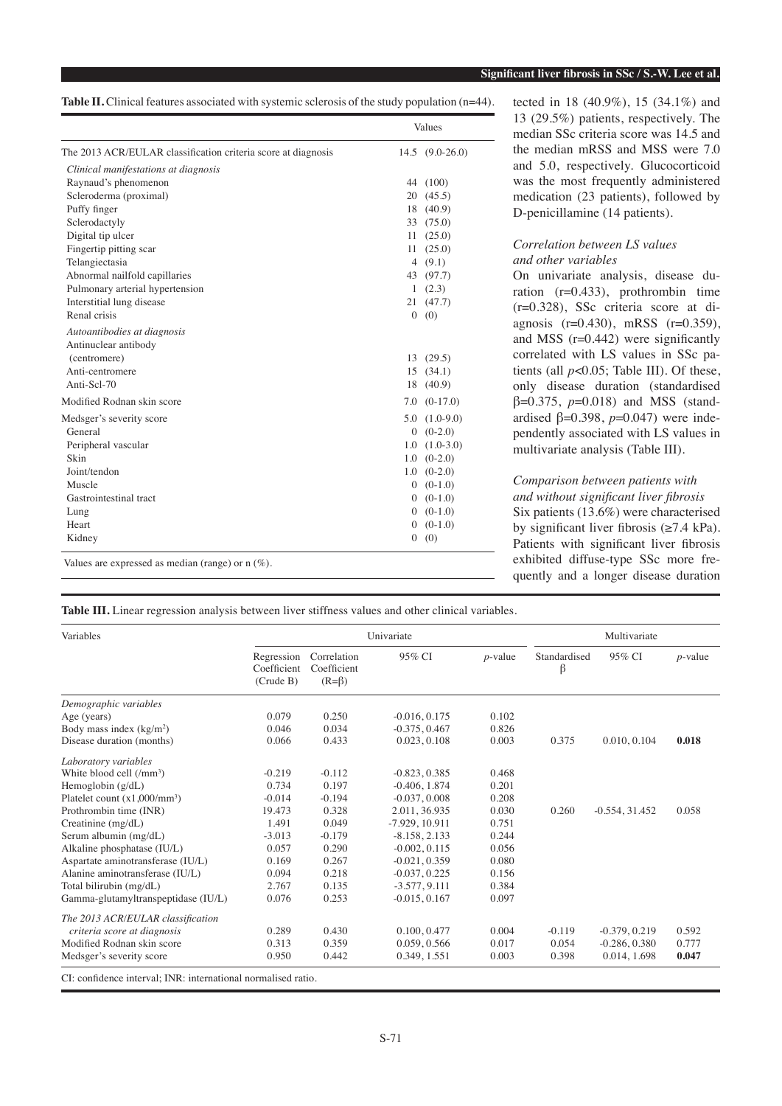**Table II.** Clinical features associated with systemic sclerosis of the study population (n=44).

|                                                               | Values |                   |  |
|---------------------------------------------------------------|--------|-------------------|--|
| The 2013 ACR/EULAR classification criteria score at diagnosis |        | $14.5(9.0-26.0)$  |  |
| Clinical manifestations at diagnosis                          |        |                   |  |
| Raynaud's phenomenon                                          |        | 44 (100)          |  |
| Scleroderma (proximal)                                        |        | 20(45.5)          |  |
| Puffy finger                                                  | 18     | (40.9)            |  |
| Sclerodactyly                                                 | 33     | (75.0)            |  |
| Digital tip ulcer                                             |        | 11(25.0)          |  |
| Fingertip pitting scar                                        | 11 -   | (25.0)            |  |
| Telangiectasia                                                |        | 4 $(9.1)$         |  |
| Abnormal nailfold capillaries                                 |        | 43 (97.7)         |  |
| Pulmonary arterial hypertension                               | 1      | (2.3)             |  |
| Interstitial lung disease                                     |        | 21(47.7)          |  |
| Renal crisis                                                  |        | 0(0)              |  |
| Autoantibodies at diagnosis                                   |        |                   |  |
| Antinuclear antibody                                          |        |                   |  |
| (centromere)                                                  |        | 13(29.5)          |  |
| Anti-centromere                                               |        | 15(34.1)          |  |
| Anti-Scl-70                                                   | 18     | (40.9)            |  |
| Modified Rodnan skin score                                    | 7.0    | $(0-17.0)$        |  |
| Medsger's severity score                                      |        | $5.0$ $(1.0-9.0)$ |  |
| General                                                       |        | $0(0-2.0)$        |  |
| Peripheral vascular                                           | 1.0    | $(1.0-3.0)$       |  |
| Skin                                                          |        | $1.0 (0-2.0)$     |  |
| Joint/tendon                                                  |        | $1.0 (0-2.0)$     |  |
| Muscle                                                        |        | $0(0-1.0)$        |  |
| Gastrointestinal tract                                        |        | $0(0-1.0)$        |  |
| Lung                                                          |        | $0(0-1.0)$        |  |
| Heart                                                         | 0      | $(0-1.0)$         |  |
| Kidney                                                        |        | 0(0)              |  |
| Values are expressed as median (range) or $n$ (%).            |        |                   |  |

tected in 18 (40.9%), 15 (34.1%) and 13 (29.5%) patients, respectively. The median SSc criteria score was 14.5 and the median mRSS and MSS were 7.0 and 5.0, respectively. Glucocorticoid was the most frequently administered medication (23 patients), followed by D-penicillamine (14 patients).

## *Correlation between LS values and other variables*

On univariate analysis, disease duration (r=0.433), prothrombin time (r=0.328), SSc criteria score at diagnosis (r=0.430), mRSS (r=0.359), and MSS (r=0.442) were significantly correlated with LS values in SSc patients (all *p*<0.05; Table III). Of these, only disease duration (standardised β=0.375, *p*=0.018) and MSS (standardised β=0.398, *p*=0.047) were independently associated with LS values in multivariate analysis (Table III).

# *Comparison between patients with and without significant liver fibrosis* Six patients (13.6%) were characterised by significant liver fibrosis  $(\geq 7.4 \text{ kPa})$ .

Patients with significant liver fibrosis exhibited diffuse-type SSc more frequently and a longer disease duration

**Table III.** Linear regression analysis between liver stiffness values and other clinical variables.

| Variables                                                     |                                        |                                           | Univariate       | Multivariate |                   |                  |            |
|---------------------------------------------------------------|----------------------------------------|-------------------------------------------|------------------|--------------|-------------------|------------------|------------|
|                                                               | Regression<br>Coefficient<br>(Crude B) | Correlation<br>Coefficient<br>$(R=\beta)$ | 95% CI           | $p$ -value   | Standardised<br>β | 95% CI           | $p$ -value |
| Demographic variables                                         |                                        |                                           |                  |              |                   |                  |            |
| Age (years)                                                   | 0.079                                  | 0.250                                     | $-0.016, 0.175$  | 0.102        |                   |                  |            |
| Body mass index $(kg/m2)$                                     | 0.046                                  | 0.034                                     | $-0.375, 0.467$  | 0.826        |                   |                  |            |
| Disease duration (months)                                     | 0.066                                  | 0.433                                     | 0.023, 0.108     | 0.003        | 0.375             | 0.010, 0.104     | 0.018      |
| Laboratory variables                                          |                                        |                                           |                  |              |                   |                  |            |
| White blood cell (/mm <sup>3</sup> )                          | $-0.219$                               | $-0.112$                                  | $-0.823, 0.385$  | 0.468        |                   |                  |            |
| Hemoglobin $(g/dL)$                                           | 0.734                                  | 0.197                                     | $-0.406, 1.874$  | 0.201        |                   |                  |            |
| Platelet count $(x1,000/mm^3)$                                | $-0.014$                               | $-0.194$                                  | $-0.037, 0.008$  | 0.208        |                   |                  |            |
| Prothrombin time (INR)                                        | 19.473                                 | 0.328                                     | 2.011, 36.935    | 0.030        | 0.260             | $-0.554, 31.452$ | 0.058      |
| Creatinine (mg/dL)                                            | 1.491                                  | 0.049                                     | $-7.929, 10.911$ | 0.751        |                   |                  |            |
| Serum albumin (mg/dL)                                         | $-3.013$                               | $-0.179$                                  | $-8.158, 2.133$  | 0.244        |                   |                  |            |
| Alkaline phosphatase (IU/L)                                   | 0.057                                  | 0.290                                     | $-0.002, 0.115$  | 0.056        |                   |                  |            |
| Aspartate aminotransferase (IU/L)                             | 0.169                                  | 0.267                                     | $-0.021, 0.359$  | 0.080        |                   |                  |            |
| Alanine aminotransferase (IU/L)                               | 0.094                                  | 0.218                                     | $-0.037, 0.225$  | 0.156        |                   |                  |            |
| Total bilirubin (mg/dL)                                       | 2.767                                  | 0.135                                     | $-3.577, 9.111$  | 0.384        |                   |                  |            |
| Gamma-glutamyltranspeptidase (IU/L)                           | 0.076                                  | 0.253                                     | $-0.015, 0.167$  | 0.097        |                   |                  |            |
| The 2013 ACR/EULAR classification                             |                                        |                                           |                  |              |                   |                  |            |
| criteria score at diagnosis                                   | 0.289                                  | 0.430                                     | 0.100, 0.477     | 0.004        | $-0.119$          | $-0.379, 0.219$  | 0.592      |
| Modified Rodnan skin score                                    | 0.313                                  | 0.359                                     | 0.059, 0.566     | 0.017        | 0.054             | $-0.286, 0.380$  | 0.777      |
| Medsger's severity score                                      | 0.950                                  | 0.442                                     | 0.349, 1.551     | 0.003        | 0.398             | 0.014, 1.698     | 0.047      |
| CI: confidence interval; INR: international normalised ratio. |                                        |                                           |                  |              |                   |                  |            |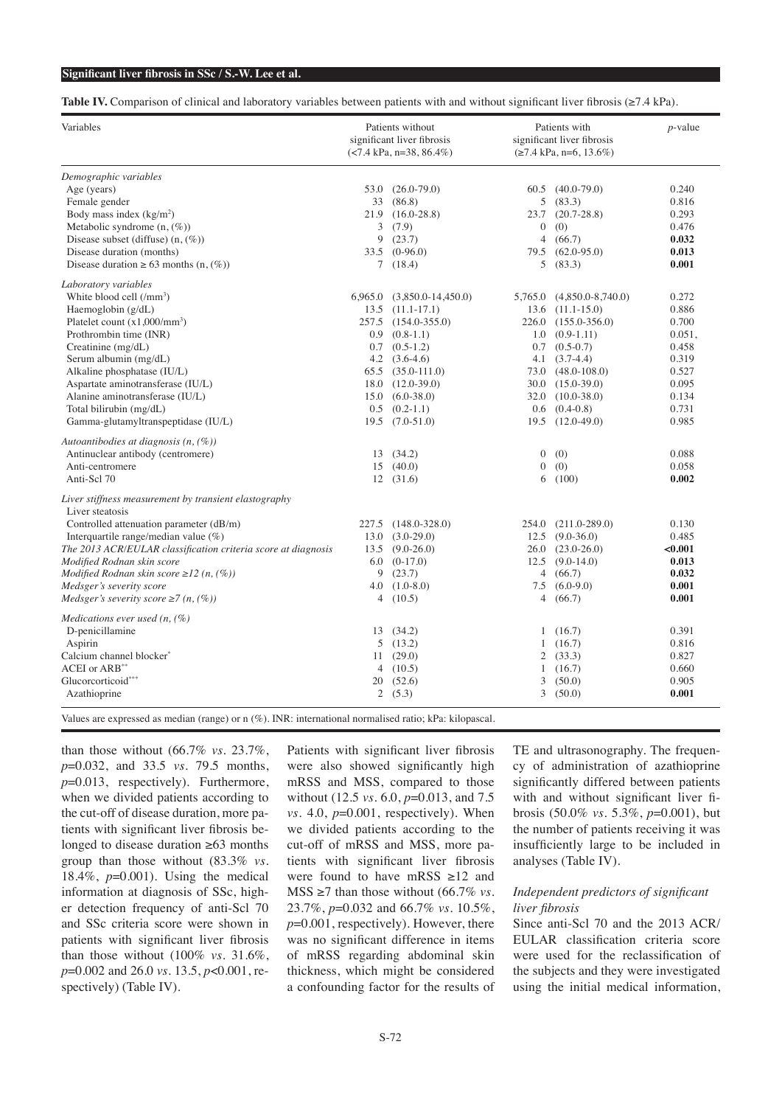**Table IV.** Comparison of clinical and laboratory variables between patients with and without significant liver fibrosis (≥7.4 kPa).

| Variables                                                     | Patients without<br>significant liver fibrosis<br>$(<7.4$ kPa, n=38, 86.4%) |                                | Patients with<br>significant liver fibrosis<br>$(\geq 7.4 \text{ kPa}, \text{n=6}, 13.6\%)$ |                           | $p$ -value |  |
|---------------------------------------------------------------|-----------------------------------------------------------------------------|--------------------------------|---------------------------------------------------------------------------------------------|---------------------------|------------|--|
| Demographic variables                                         |                                                                             |                                |                                                                                             |                           |            |  |
| Age (years)                                                   | 53.0                                                                        | $(26.0 - 79.0)$                |                                                                                             | $60.5$ $(40.0-79.0)$      | 0.240      |  |
| Female gender                                                 | 33                                                                          | (86.8)                         | 5                                                                                           | (83.3)                    | 0.816      |  |
| Body mass index $(kg/m2)$                                     | 21.9                                                                        | $(16.0 - 28.8)$                | 23.7                                                                                        | $(20.7 - 28.8)$           | 0.293      |  |
| Metabolic syndrome $(n, (\%))$                                | 3                                                                           | (7.9)                          | $\overline{0}$                                                                              | (0)                       | 0.476      |  |
| Disease subset (diffuse) $(n, (\%))$                          | 9                                                                           | (23.7)                         | $\overline{4}$                                                                              | (66.7)                    | 0.032      |  |
| Disease duration (months)                                     | 33.5                                                                        | $(0-96.0)$                     | 79.5                                                                                        | $(62.0 - 95.0)$           | 0.013      |  |
| Disease duration $\geq 63$ months $(n, (\%))$                 |                                                                             | 7(18.4)                        | 5                                                                                           | (83.3)                    | 0.001      |  |
| Laboratory variables                                          |                                                                             |                                |                                                                                             |                           |            |  |
| White blood cell (/mm <sup>3</sup> )                          |                                                                             | $6,965.0$ $(3,850.0-14,450.0)$ |                                                                                             | 5,765.0 (4,850.0-8,740.0) | 0.272      |  |
| Haemoglobin $(g/dL)$                                          |                                                                             | $13.5$ $(11.1-17.1)$           |                                                                                             | $13.6$ $(11.1 - 15.0)$    | 0.886      |  |
| Platelet count $(x1,000/mm^3)$                                |                                                                             | 257.5 (154.0-355.0)            |                                                                                             | 226.0 (155.0-356.0)       | 0.700      |  |
| Prothrombin time (INR)                                        | 0.9                                                                         | $(0.8-1.1)$                    | 1.0                                                                                         | $(0.9-1.11)$              | 0.051,     |  |
| Creatinine $(mg/dL)$                                          |                                                                             | $0.7$ $(0.5-1.2)$              |                                                                                             | $0.7$ $(0.5-0.7)$         | 0.458      |  |
| Serum albumin (mg/dL)                                         |                                                                             | 4.2 $(3.6-4.6)$                |                                                                                             | $4.1 \quad (3.7-4.4)$     | 0.319      |  |
| Alkaline phosphatase (IU/L)                                   |                                                                             | $65.5$ $(35.0-111.0)$          |                                                                                             | $73.0 (48.0 - 108.0)$     | 0.527      |  |
| Aspartate aminotransferase (IU/L)                             | 18.0                                                                        | $(12.0 - 39.0)$                |                                                                                             | 30.0 (15.0-39.0)          | 0.095      |  |
| Alanine aminotransferase (IU/L)                               | 15.0                                                                        | $(6.0 - 38.0)$                 |                                                                                             | 32.0 (10.0-38.0)          | 0.134      |  |
| Total bilirubin (mg/dL)                                       | 0.5                                                                         | $(0.2-1.1)$                    | 0.6                                                                                         | $(0.4 - 0.8)$             | 0.731      |  |
| Gamma-glutamyltranspeptidase (IU/L)                           | 19.5                                                                        | $(7.0 - 51.0)$                 | 19.5                                                                                        | $(12.0 - 49.0)$           | 0.985      |  |
|                                                               |                                                                             |                                |                                                                                             |                           |            |  |
| Autoantibodies at diagnosis (n, (%))                          |                                                                             |                                |                                                                                             |                           |            |  |
| Antinuclear antibody (centromere)                             | 13                                                                          | (34.2)                         | $\boldsymbol{0}$                                                                            | (0)                       | 0.088      |  |
| Anti-centromere                                               | 15                                                                          | (40.0)                         | $\Omega$                                                                                    | (0)                       | 0.058      |  |
| Anti-Scl 70                                                   |                                                                             | 12(31.6)                       | 6                                                                                           | (100)                     | 0.002      |  |
| Liver stiffness measurement by transient elastography         |                                                                             |                                |                                                                                             |                           |            |  |
| Liver steatosis                                               |                                                                             |                                |                                                                                             |                           |            |  |
| Controlled attenuation parameter (dB/m)                       | 227.5                                                                       | $(148.0 - 328.0)$              | 254.0                                                                                       | $(211.0 - 289.0)$         | 0.130      |  |
| Interquartile range/median value $(\%)$                       | 13.0                                                                        | $(3.0-29.0)$                   | 12.5                                                                                        | $(9.0 - 36.0)$            | 0.485      |  |
| The 2013 ACR/EULAR classification criteria score at diagnosis | 13.5                                                                        | $(9.0-26.0)$                   |                                                                                             | $26.0(23.0-26.0)$         | < 0.001    |  |
| Modified Rodnan skin score                                    | 6.0                                                                         | $(0-17.0)$                     | 12.5                                                                                        | $(9.0-14.0)$              | 0.013      |  |
| Modified Rodnan skin score $\geq$ 12 (n, (%))                 | 9                                                                           | (23.7)                         | 4                                                                                           | (66.7)                    | 0.032      |  |
| Medsger's severity score                                      | 4.0                                                                         | $(1.0 - 8.0)$                  | 7.5                                                                                         | $(6.0-9.0)$               | 0.001      |  |
| Medsger's severity score $\geq$ 7 (n, (%))                    | 4                                                                           | (10.5)                         | 4                                                                                           | (66.7)                    | 0.001      |  |
| Medications ever used $(n, (\%)$                              |                                                                             |                                |                                                                                             |                           |            |  |
| D-penicillamine                                               |                                                                             | 13(34.2)                       | 1                                                                                           | (16.7)                    | 0.391      |  |
| Aspirin                                                       | 5                                                                           | (13.2)                         | 1                                                                                           | (16.7)                    | 0.816      |  |
| Calcium channel blocker*                                      | 11                                                                          | (29.0)                         | 2                                                                                           | (33.3)                    | 0.827      |  |
| ACEI or ARB**                                                 | $\overline{4}$                                                              | (10.5)                         | 1                                                                                           | (16.7)                    | 0.660      |  |
| Glucorcorticoid***                                            | 20                                                                          | (52.6)                         | 3                                                                                           | (50.0)                    | 0.905      |  |
| Azathioprine                                                  |                                                                             | 2(5.3)                         | 3                                                                                           | (50.0)                    | 0.001      |  |

Values are expressed as median (range) or n (%). INR: international normalised ratio; kPa: kilopascal.

than those without (66.7% *vs.* 23.7%, *p*=0.032, and 33.5 *vs.* 79.5 months, *p*=0.013, respectively). Furthermore, when we divided patients according to the cut-off of disease duration, more patients with significant liver fibrosis belonged to disease duration ≥63 months group than those without (83.3% *vs.* 18.4%, *p*=0.001). Using the medical information at diagnosis of SSc, higher detection frequency of anti-Scl 70 and SSc criteria score were shown in patients with significant liver fibrosis than those without (100% *vs.* 31.6%, *p*=0.002 and 26.0 *vs.* 13.5, *p*<0.001, respectively) (Table IV).

Patients with significant liver fibrosis were also showed significantly high mRSS and MSS, compared to those without (12.5 *vs.* 6.0, *p*=0.013, and 7.5 *vs.* 4.0,  $p=0.001$ , respectively). When we divided patients according to the cut-off of mRSS and MSS, more patients with significant liver fibrosis were found to have mRSS ≥12 and MSS  $\geq$ 7 than those without (66.7% *vs.*) 23.7%, *p*=0.032 and 66.7% *vs.* 10.5%, *p*=0.001, respectively). However, there was no significant difference in items of mRSS regarding abdominal skin thickness, which might be considered a confounding factor for the results of TE and ultrasonography. The frequency of administration of azathioprine significantly differed between patients with and without significant liver fibrosis (50.0% *vs.* 5.3%, *p*=0.001), but the number of patients receiving it was insufficiently large to be included in analyses (Table IV).

## *Independent predictors of significant liver fibrosis*

Since anti-Scl 70 and the 2013 ACR/ EULAR classification criteria score were used for the reclassification of the subjects and they were investigated using the initial medical information,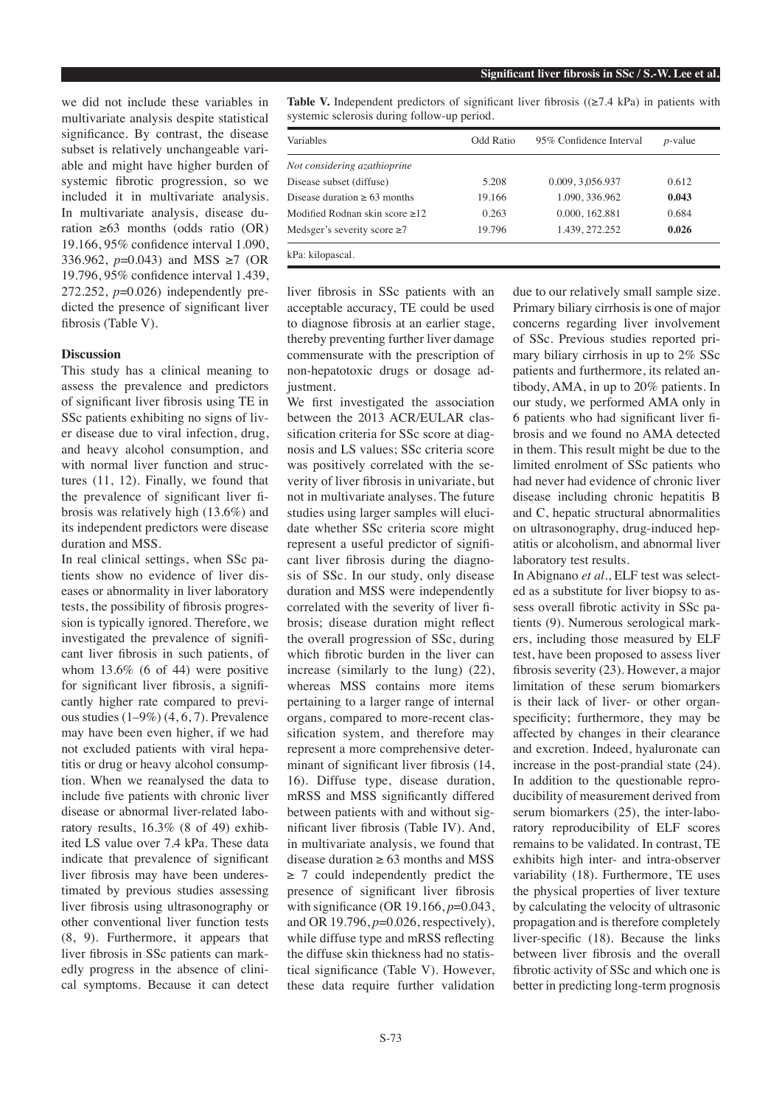we did not include these variables in multivariate analysis despite statistical significance. By contrast, the disease subset is relatively unchangeable variable and might have higher burden of systemic fibrotic progression, so we included it in multivariate analysis. In multivariate analysis, disease duration ≥63 months (odds ratio (OR) 19.166, 95% confidence interval 1.090, 336.962, *p*=0.043) and MSS ≥7 (OR 19.796, 95% confidence interval 1.439, 272.252, *p*=0.026) independently predicted the presence of significant liver fibrosis (Table V).

## **Discussion**

This study has a clinical meaning to assess the prevalence and predictors of significant liver fibrosis using TE in SSc patients exhibiting no signs of liver disease due to viral infection, drug, and heavy alcohol consumption, and with normal liver function and structures (11, 12). Finally, we found that the prevalence of significant liver fibrosis was relatively high (13.6%) and its independent predictors were disease duration and MSS.

In real clinical settings, when SSc patients show no evidence of liver diseases or abnormality in liver laboratory tests, the possibility of fibrosis progression is typically ignored. Therefore, we investigated the prevalence of significant liver fibrosis in such patients, of whom 13.6% (6 of 44) were positive for significant liver fibrosis, a significantly higher rate compared to previous studies (1–9%) (4, 6, 7). Prevalence may have been even higher, if we had not excluded patients with viral hepatitis or drug or heavy alcohol consumption. When we reanalysed the data to include five patients with chronic liver disease or abnormal liver-related laboratory results, 16.3% (8 of 49) exhibited LS value over 7.4 kPa. These data indicate that prevalence of significant liver fibrosis may have been underestimated by previous studies assessing liver fibrosis using ultrasonography or other conventional liver function tests (8, 9). Furthermore, it appears that liver fibrosis in SSc patients can markedly progress in the absence of clinical symptoms. Because it can detect

**Table V.** Independent predictors of significant liver fibrosis ( $(\geq 7.4 \text{ kPa})$  in patients with systemic sclerosis during follow-up period.

| Variables                         | Odd Ratio | 95% Confidence Interval | $p$ -value |
|-----------------------------------|-----------|-------------------------|------------|
| Not considering azathioprine      |           |                         |            |
| Disease subset (diffuse)          | 5.208     | 0.009, 3,056.937        | 0.612      |
| Disease duration $\geq 63$ months | 19.166    | 1.090, 336.962          | 0.043      |
| Modified Rodnan skin score >12    | 0.263     | 0.000, 162.881          | 0.684      |
| Medsger's severity score $\geq 7$ | 19.796    | 1.439, 272.252          | 0.026      |
| kPa: kilopascal.                  |           |                         |            |

liver fibrosis in SSc patients with an acceptable accuracy, TE could be used to diagnose fibrosis at an earlier stage, thereby preventing further liver damage commensurate with the prescription of non-hepatotoxic drugs or dosage adjustment.

We first investigated the association between the 2013 ACR/EULAR classification criteria for SSc score at diagnosis and LS values; SSc criteria score was positively correlated with the severity of liver fibrosis in univariate, but not in multivariate analyses. The future studies using larger samples will elucidate whether SSc criteria score might represent a useful predictor of significant liver fibrosis during the diagnosis of SSc. In our study, only disease duration and MSS were independently correlated with the severity of liver fibrosis; disease duration might reflect the overall progression of SSc, during which fibrotic burden in the liver can increase (similarly to the lung) (22), whereas MSS contains more items pertaining to a larger range of internal organs, compared to more-recent classification system, and therefore may represent a more comprehensive determinant of significant liver fibrosis (14, 16). Diffuse type, disease duration, mRSS and MSS significantly differed between patients with and without significant liver fibrosis (Table IV). And, in multivariate analysis, we found that disease duration  $\geq 63$  months and MSS  $\geq$  7 could independently predict the presence of significant liver fibrosis with significance (OR 19.166,  $p=0.043$ , and OR 19.796, *p*=0.026, respectively), while diffuse type and mRSS reflecting the diffuse skin thickness had no statistical significance (Table V). However, these data require further validation

due to our relatively small sample size. Primary biliary cirrhosis is one of major concerns regarding liver involvement of SSc. Previous studies reported primary biliary cirrhosis in up to 2% SSc patients and furthermore, its related antibody, AMA, in up to 20% patients. In our study, we performed AMA only in 6 patients who had significant liver fibrosis and we found no AMA detected in them. This result might be due to the limited enrolment of SSc patients who had never had evidence of chronic liver disease including chronic hepatitis B and C, hepatic structural abnormalities on ultrasonography, drug-induced hepatitis or alcoholism, and abnormal liver laboratory test results.

In Abignano *et al.*, ELF test was selected as a substitute for liver biopsy to assess overall fibrotic activity in SSc patients (9). Numerous serological markers, including those measured by ELF test, have been proposed to assess liver fibrosis severity (23). However, a major limitation of these serum biomarkers is their lack of liver- or other organspecificity; furthermore, they may be affected by changes in their clearance and excretion. Indeed, hyaluronate can increase in the post-prandial state (24). In addition to the questionable reproducibility of measurement derived from serum biomarkers (25), the inter-laboratory reproducibility of ELF scores remains to be validated. In contrast, TE exhibits high inter- and intra-observer variability (18). Furthermore, TE uses the physical properties of liver texture by calculating the velocity of ultrasonic propagation and is therefore completely liver-specific (18). Because the links between liver fibrosis and the overall fibrotic activity of SSc and which one is better in predicting long-term prognosis